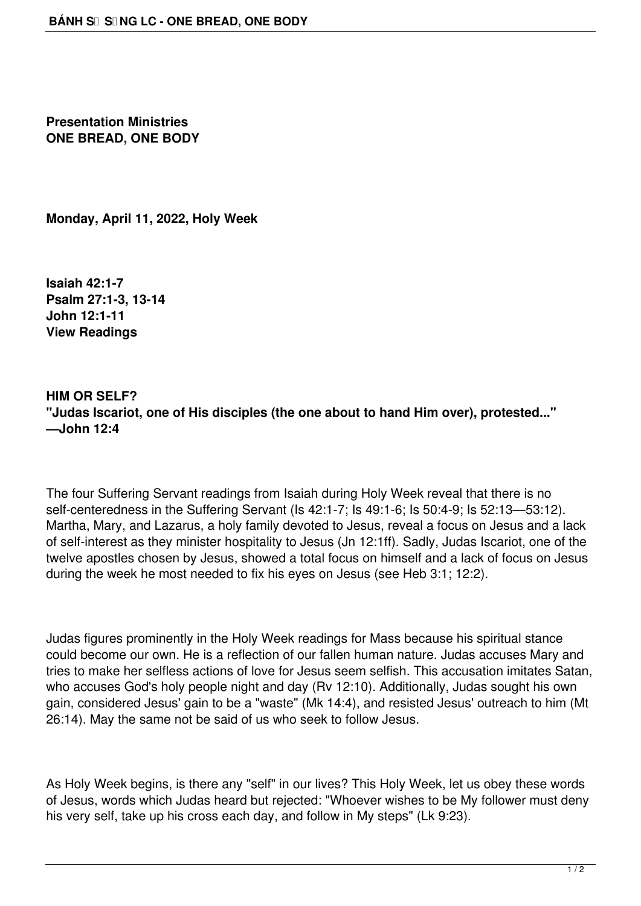**Presentation Ministries ONE BREAD, ONE BODY**

**Monday, April 11, 2022, Holy Week**

**Isaiah 42:1-7 Psalm 27:1-3, 13-14 John 12:1-11 View Readings**

**HIM OR SELF? "Judas Iscariot, one of His disciples (the one about to hand Him over), protested..." —John 12:4**

The four Suffering Servant readings from Isaiah during Holy Week reveal that there is no self-centeredness in the Suffering Servant (Is 42:1-7; Is 49:1-6; Is 50:4-9; Is 52:13—53:12). Martha, Mary, and Lazarus, a holy family devoted to Jesus, reveal a focus on Jesus and a lack of self-interest as they minister hospitality to Jesus (Jn 12:1ff). Sadly, Judas Iscariot, one of the twelve apostles chosen by Jesus, showed a total focus on himself and a lack of focus on Jesus during the week he most needed to fix his eyes on Jesus (see Heb 3:1; 12:2).

Judas figures prominently in the Holy Week readings for Mass because his spiritual stance could become our own. He is a reflection of our fallen human nature. Judas accuses Mary and tries to make her selfless actions of love for Jesus seem selfish. This accusation imitates Satan, who accuses God's holy people night and day (Rv 12:10). Additionally, Judas sought his own gain, considered Jesus' gain to be a "waste" (Mk 14:4), and resisted Jesus' outreach to him (Mt 26:14). May the same not be said of us who seek to follow Jesus.

As Holy Week begins, is there any "self" in our lives? This Holy Week, let us obey these words of Jesus, words which Judas heard but rejected: "Whoever wishes to be My follower must deny his very self, take up his cross each day, and follow in My steps" (Lk 9:23).